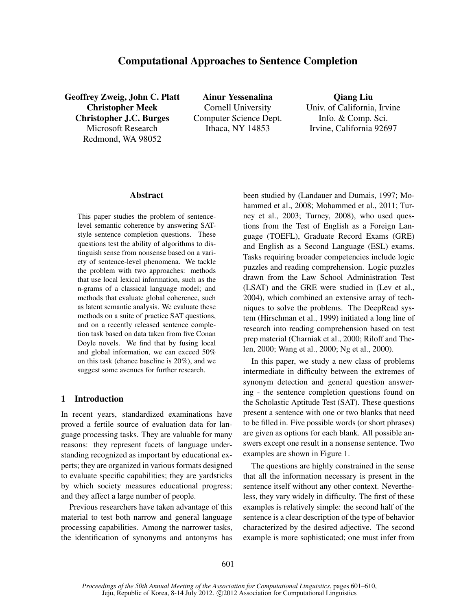# Computational Approaches to Sentence Completion

Geoffrey Zweig, John C. Platt Christopher Meek Christopher J.C. Burges Microsoft Research Redmond, WA 98052

Ainur Yessenalina Cornell University Computer Science Dept. Ithaca, NY 14853

Qiang Liu Univ. of California, Irvine Info. & Comp. Sci. Irvine, California 92697

#### Abstract

This paper studies the problem of sentencelevel semantic coherence by answering SATstyle sentence completion questions. These questions test the ability of algorithms to distinguish sense from nonsense based on a variety of sentence-level phenomena. We tackle the problem with two approaches: methods that use local lexical information, such as the n-grams of a classical language model; and methods that evaluate global coherence, such as latent semantic analysis. We evaluate these methods on a suite of practice SAT questions, and on a recently released sentence completion task based on data taken from five Conan Doyle novels. We find that by fusing local and global information, we can exceed 50% on this task (chance baseline is 20%), and we suggest some avenues for further research.

## 1 Introduction

In recent years, standardized examinations have proved a fertile source of evaluation data for language processing tasks. They are valuable for many reasons: they represent facets of language understanding recognized as important by educational experts; they are organized in various formats designed to evaluate specific capabilities; they are yardsticks by which society measures educational progress; and they affect a large number of people.

Previous researchers have taken advantage of this material to test both narrow and general language processing capabilities. Among the narrower tasks, the identification of synonyms and antonyms has

been studied by (Landauer and Dumais, 1997; Mohammed et al., 2008; Mohammed et al., 2011; Turney et al., 2003; Turney, 2008), who used questions from the Test of English as a Foreign Language (TOEFL), Graduate Record Exams (GRE) and English as a Second Language (ESL) exams. Tasks requiring broader competencies include logic puzzles and reading comprehension. Logic puzzles drawn from the Law School Administration Test (LSAT) and the GRE were studied in (Lev et al., 2004), which combined an extensive array of techniques to solve the problems. The DeepRead system (Hirschman et al., 1999) initiated a long line of research into reading comprehension based on test prep material (Charniak et al., 2000; Riloff and Thelen, 2000; Wang et al., 2000; Ng et al., 2000).

In this paper, we study a new class of problems intermediate in difficulty between the extremes of synonym detection and general question answering - the sentence completion questions found on the Scholastic Aptitude Test (SAT). These questions present a sentence with one or two blanks that need to be filled in. Five possible words (or short phrases) are given as options for each blank. All possible answers except one result in a nonsense sentence. Two examples are shown in Figure 1.

The questions are highly constrained in the sense that all the information necessary is present in the sentence itself without any other context. Nevertheless, they vary widely in difficulty. The first of these examples is relatively simple: the second half of the sentence is a clear description of the type of behavior characterized by the desired adjective. The second example is more sophisticated; one must infer from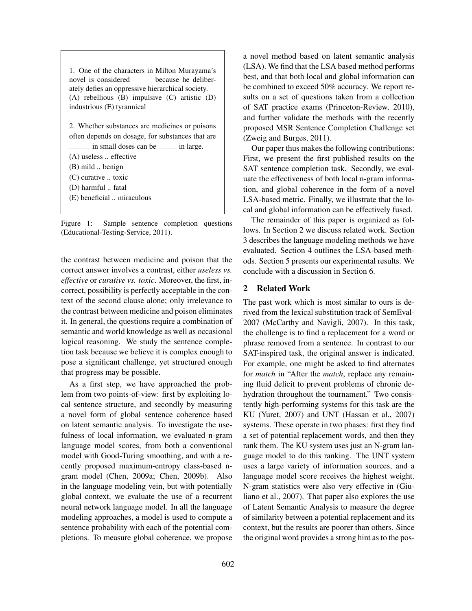1. One of the characters in Milton Murayama's novel is considered \_\_\_\_\_\_ because he deliberately defies an oppressive hierarchical society. (A) rebellious (B) impulsive (C) artistic (D) industrious (E) tyrannical

2. Whether substances are medicines or poisons often depends on dosage, for substances that are  $\frac{1}{2}$  in small doses can be  $\frac{1}{2}$  in large. (A) useless .. effective (B) mild .. benign (C) curative .. toxic (D) harmful .. fatal

(E) beneficial .. miraculous

Figure 1: Sample sentence completion questions (Educational-Testing-Service, 2011).

the contrast between medicine and poison that the correct answer involves a contrast, either *useless vs. effective* or *curative vs. toxic*. Moreover, the first, incorrect, possibility is perfectly acceptable in the context of the second clause alone; only irrelevance to the contrast between medicine and poison eliminates it. In general, the questions require a combination of semantic and world knowledge as well as occasional logical reasoning. We study the sentence completion task because we believe it is complex enough to pose a significant challenge, yet structured enough that progress may be possible.

As a first step, we have approached the problem from two points-of-view: first by exploiting local sentence structure, and secondly by measuring a novel form of global sentence coherence based on latent semantic analysis. To investigate the usefulness of local information, we evaluated n-gram language model scores, from both a conventional model with Good-Turing smoothing, and with a recently proposed maximum-entropy class-based ngram model (Chen, 2009a; Chen, 2009b). Also in the language modeling vein, but with potentially global context, we evaluate the use of a recurrent neural network language model. In all the language modeling approaches, a model is used to compute a sentence probability with each of the potential completions. To measure global coherence, we propose

a novel method based on latent semantic analysis (LSA). We find that the LSA based method performs best, and that both local and global information can be combined to exceed 50% accuracy. We report results on a set of questions taken from a collection of SAT practice exams (Princeton-Review, 2010), and further validate the methods with the recently proposed MSR Sentence Completion Challenge set (Zweig and Burges, 2011).

Our paper thus makes the following contributions: First, we present the first published results on the SAT sentence completion task. Secondly, we evaluate the effectiveness of both local n-gram information, and global coherence in the form of a novel LSA-based metric. Finally, we illustrate that the local and global information can be effectively fused.

The remainder of this paper is organized as follows. In Section 2 we discuss related work. Section 3 describes the language modeling methods we have evaluated. Section 4 outlines the LSA-based methods. Section 5 presents our experimental results. We conclude with a discussion in Section 6.

## 2 Related Work

The past work which is most similar to ours is derived from the lexical substitution track of SemEval-2007 (McCarthy and Navigli, 2007). In this task, the challenge is to find a replacement for a word or phrase removed from a sentence. In contrast to our SAT-inspired task, the original answer is indicated. For example, one might be asked to find alternates for *match* in "After the *match*, replace any remaining fluid deficit to prevent problems of chronic dehydration throughout the tournament." Two consistently high-performing systems for this task are the KU (Yuret, 2007) and UNT (Hassan et al., 2007) systems. These operate in two phases: first they find a set of potential replacement words, and then they rank them. The KU system uses just an N-gram language model to do this ranking. The UNT system uses a large variety of information sources, and a language model score receives the highest weight. N-gram statistics were also very effective in (Giuliano et al., 2007). That paper also explores the use of Latent Semantic Analysis to measure the degree of similarity between a potential replacement and its context, but the results are poorer than others. Since the original word provides a strong hint as to the pos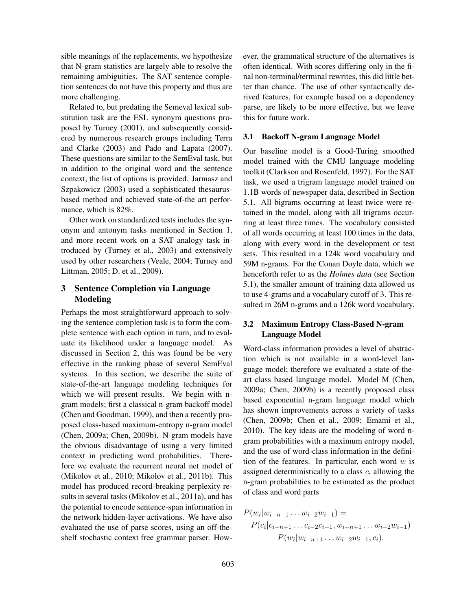sible meanings of the replacements, we hypothesize that N-gram statistics are largely able to resolve the remaining ambiguities. The SAT sentence completion sentences do not have this property and thus are more challenging.

Related to, but predating the Semeval lexical substitution task are the ESL synonym questions proposed by Turney (2001), and subsequently considered by numerous research groups including Terra and Clarke (2003) and Pado and Lapata (2007). These questions are similar to the SemEval task, but in addition to the original word and the sentence context, the list of options is provided. Jarmasz and Szpakowicz (2003) used a sophisticated thesaurusbased method and achieved state-of-the art performance, which is 82%.

Other work on standardized tests includes the synonym and antonym tasks mentioned in Section 1, and more recent work on a SAT analogy task introduced by (Turney et al., 2003) and extensively used by other researchers (Veale, 2004; Turney and Littman, 2005; D. et al., 2009).

## 3 Sentence Completion via Language Modeling

Perhaps the most straightforward approach to solving the sentence completion task is to form the complete sentence with each option in turn, and to evaluate its likelihood under a language model. As discussed in Section 2, this was found be be very effective in the ranking phase of several SemEval systems. In this section, we describe the suite of state-of-the-art language modeling techniques for which we will present results. We begin with ngram models; first a classical n-gram backoff model (Chen and Goodman, 1999), and then a recently proposed class-based maximum-entropy n-gram model (Chen, 2009a; Chen, 2009b). N-gram models have the obvious disadvantage of using a very limited context in predicting word probabilities. Therefore we evaluate the recurrent neural net model of (Mikolov et al., 2010; Mikolov et al., 2011b). This model has produced record-breaking perplexity results in several tasks (Mikolov et al., 2011a), and has the potential to encode sentence-span information in the network hidden-layer activations. We have also evaluated the use of parse scores, using an off-theshelf stochastic context free grammar parser. However, the grammatical structure of the alternatives is often identical. With scores differing only in the final non-terminal/terminal rewrites, this did little better than chance. The use of other syntactically derived features, for example based on a dependency parse, are likely to be more effective, but we leave this for future work.

#### 3.1 Backoff N-gram Language Model

Our baseline model is a Good-Turing smoothed model trained with the CMU language modeling toolkit (Clarkson and Rosenfeld, 1997). For the SAT task, we used a trigram language model trained on 1.1B words of newspaper data, described in Section 5.1. All bigrams occurring at least twice were retained in the model, along with all trigrams occurring at least three times. The vocabulary consisted of all words occurring at least 100 times in the data, along with every word in the development or test sets. This resulted in a 124k word vocabulary and 59M n-grams. For the Conan Doyle data, which we henceforth refer to as the *Holmes data* (see Section 5.1), the smaller amount of training data allowed us to use 4-grams and a vocabulary cutoff of 3. This resulted in 26M n-grams and a 126k word vocabulary.

## 3.2 Maximum Entropy Class-Based N-gram Language Model

Word-class information provides a level of abstraction which is not available in a word-level language model; therefore we evaluated a state-of-theart class based language model. Model M (Chen, 2009a; Chen, 2009b) is a recently proposed class based exponential n-gram language model which has shown improvements across a variety of tasks (Chen, 2009b; Chen et al., 2009; Emami et al., 2010). The key ideas are the modeling of word ngram probabilities with a maximum entropy model, and the use of word-class information in the definition of the features. In particular, each word  $w$  is assigned deterministically to a class  $c$ , allowing the n-gram probabilities to be estimated as the product of class and word parts

$$
P(w_i|w_{i-n+1}\dots w_{i-2}w_{i-1}) =
$$
  
\n
$$
P(c_i|c_{i-n+1}\dots c_{i-2}c_{i-1},w_{i-n+1}\dots w_{i-2}w_{i-1})
$$
  
\n
$$
P(w_i|w_{i-n+1}\dots w_{i-2}w_{i-1},c_i).
$$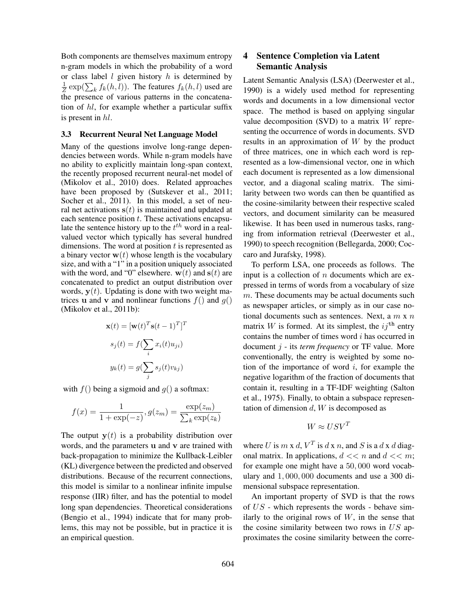Both components are themselves maximum entropy n-gram models in which the probability of a word or class label  $l$  given history  $h$  is determined by  $\frac{1}{Z}$  exp( $\sum_{k} f_k(h, l)$ ). The features  $f_k(h, l)$  used are the presence of various patterns in the concatenation of hl, for example whether a particular suffix is present in hl.

#### 3.3 Recurrent Neural Net Language Model

Many of the questions involve long-range dependencies between words. While n-gram models have no ability to explicitly maintain long-span context, the recently proposed recurrent neural-net model of (Mikolov et al., 2010) does. Related approaches have been proposed by (Sutskever et al., 2011; Socher et al., 2011). In this model, a set of neural net activations  $s(t)$  is maintained and updated at each sentence position  $t$ . These activations encapsulate the sentence history up to the  $t^{th}$  word in a realvalued vector which typically has several hundred dimensions. The word at position  $t$  is represented as a binary vector  $w(t)$  whose length is the vocabulary size, and with a "1" in a position uniquely associated with the word, and "0" elsewhere.  $w(t)$  and  $s(t)$  are concatenated to predict an output distribution over words,  $y(t)$ . Updating is done with two weight matrices u and v and nonlinear functions  $f()$  and  $g()$ (Mikolov et al., 2011b):

$$
\mathbf{x}(t) = [\mathbf{w}(t)^T \mathbf{s}(t-1)^T]^T
$$

$$
s_j(t) = f(\sum_i x_i(t)u_{ji})
$$

$$
y_k(t) = g(\sum_j s_j(t)v_{kj})
$$

with  $f()$  being a sigmoid and  $g()$  a softmax:

$$
f(x) = \frac{1}{1 + \exp(-z)}, g(z_m) = \frac{\exp(z_m)}{\sum_{k} \exp(z_k)}
$$

The output  $y(t)$  is a probability distribution over words, and the parameters u and v are trained with back-propagation to minimize the Kullback-Leibler (KL) divergence between the predicted and observed distributions. Because of the recurrent connections, this model is similar to a nonlinear infinite impulse response (IIR) filter, and has the potential to model long span dependencies. Theoretical considerations (Bengio et al., 1994) indicate that for many problems, this may not be possible, but in practice it is an empirical question.

## 4 Sentence Completion via Latent Semantic Analysis

Latent Semantic Analysis (LSA) (Deerwester et al., 1990) is a widely used method for representing words and documents in a low dimensional vector space. The method is based on applying singular value decomposition (SVD) to a matrix  $W$  representing the occurrence of words in documents. SVD results in an approximation of W by the product of three matrices, one in which each word is represented as a low-dimensional vector, one in which each document is represented as a low dimensional vector, and a diagonal scaling matrix. The similarity between two words can then be quantified as the cosine-similarity between their respective scaled vectors, and document similarity can be measured likewise. It has been used in numerous tasks, ranging from information retrieval (Deerwester et al., 1990) to speech recognition (Bellegarda, 2000; Coccaro and Jurafsky, 1998).

To perform LSA, one proceeds as follows. The input is a collection of  $n$  documents which are expressed in terms of words from a vocabulary of size  $m$ . These documents may be actual documents such as newspaper articles, or simply as in our case notional documents such as sentences. Next, a  $m \times n$ matrix W is formed. At its simplest, the  $ij^{\text{th}}$  entry contains the number of times word i has occurred in document j - its *term frequency* or TF value. More conventionally, the entry is weighted by some notion of the importance of word  $i$ , for example the negative logarithm of the fraction of documents that contain it, resulting in a TF-IDF weighting (Salton et al., 1975). Finally, to obtain a subspace representation of dimension  $d$ ,  $W$  is decomposed as

$$
W \approx USV^T
$$

where U is  $m \times d$ ,  $V^T$  is  $d \times n$ , and S is a  $d \times d$  diagonal matrix. In applications,  $d \ll n$  and  $d \ll m$ ; for example one might have a 50, 000 word vocabulary and 1, 000, 000 documents and use a 300 dimensional subspace representation.

An important property of SVD is that the rows of  $US$  - which represents the words - behave similarly to the original rows of  $W$ , in the sense that the cosine similarity between two rows in  $US$  approximates the cosine similarity between the corre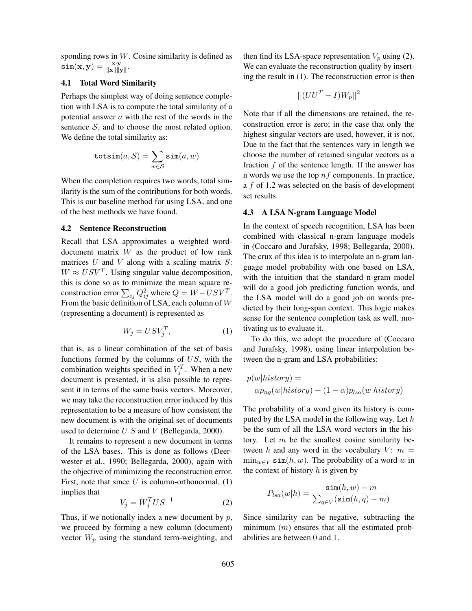sponding rows in W. Cosine similarity is defined as  $\texttt{sim}(\mathbf{x}, \mathbf{y}) = \frac{\mathbf{x} \cdot \mathbf{y}}{\|\mathbf{x}\| \|\mathbf{y}\|}.$ 

## 4.1 Total Word Similarity

Perhaps the simplest way of doing sentence completion with LSA is to compute the total similarity of a potential answer  $a$  with the rest of the words in the sentence  $S$ , and to choose the most related option. We define the total similarity as:

$$
\texttt{totsim}(a, \mathcal{S}) = \sum_{w \in \mathcal{S}} \texttt{sim}(a, w)
$$

When the completion requires two words, total similarity is the sum of the contributions for both words. This is our baseline method for using LSA, and one of the best methods we have found.

### 4.2 Sentence Reconstruction

Recall that LSA approximates a weighted worddocument matrix W as the product of low rank matrices  $U$  and  $V$  along with a scaling matrix  $S$ :  $W \approx USV^T$ . Using singular value decomposition, this is done so as to minimize the mean square reconstruction error  $\sum_{ij}Q_{ij}^2$  where  $Q=W-USV^T$ . From the basic definition of LSA, each column of W (representing a document) is represented as

$$
W_j = USV_j^T,\tag{1}
$$

that is, as a linear combination of the set of basis functions formed by the columns of  $US$ , with the combination weights specified in  $V_j^T$ . When a new document is presented, it is also possible to represent it in terms of the same basis vectors. Moreover, we may take the reconstruction error induced by this representation to be a measure of how consistent the new document is with the original set of documents used to determine  $U S$  and  $V$  (Bellegarda, 2000).

It remains to represent a new document in terms of the LSA bases. This is done as follows (Deerwester et al., 1990; Bellegarda, 2000), again with the objective of minimizing the reconstruction error. First, note that since  $U$  is column-orthonormal,  $(1)$ implies that

$$
V_j = W_j^T U S^{-1} \tag{2}
$$

Thus, if we notionally index a new document by  $p$ , we proceed by forming a new column (document) vector  $W_p$  using the standard term-weighting, and then find its LSA-space representation  $V_p$  using (2). We can evaluate the reconstruction quality by inserting the result in (1). The reconstruction error is then

$$
||(UU^T - I)W_p||^2
$$

Note that if all the dimensions are retained, the reconstruction error is zero; in the case that only the highest singular vectors are used, however, it is not. Due to the fact that the sentences vary in length we choose the number of retained singular vectors as a fraction  $f$  of the sentence length. If the answer has n words we use the top  $nf$  components. In practice, a f of 1.2 was selected on the basis of development set results.

#### 4.3 A LSA N-gram Language Model

In the context of speech recognition, LSA has been combined with classical n-gram language models in (Coccaro and Jurafsky, 1998; Bellegarda, 2000). The crux of this idea is to interpolate an n-gram language model probability with one based on LSA, with the intuition that the standard n-gram model will do a good job predicting function words, and the LSA model will do a good job on words predicted by their long-span context. This logic makes sense for the sentence completion task as well, motivating us to evaluate it.

To do this, we adopt the procedure of (Coccaro and Jurafsky, 1998), using linear interpolation between the n-gram and LSA probabilities:

$$
p(w|history) = \alpha p_{ng}(w|history) + (1 - \alpha)p_{lsa}(w|history)
$$

The probability of a word given its history is computed by the LSA model in the following way. Let  $h$ be the sum of all the LSA word vectors in the history. Let  $m$  be the smallest cosine similarity between h and any word in the vocabulary  $V: m =$  $\min_{w \in V} \sin(h, w)$ . The probability of a word w in the context of history  $h$  is given by

$$
P_{lsa}(w|h) = \frac{\sin(h, w) - m}{\sum_{q \in V} (\sin(h, q) - m)}
$$

Since similarity can be negative, subtracting the minimum  $(m)$  ensures that all the estimated probabilities are between 0 and 1.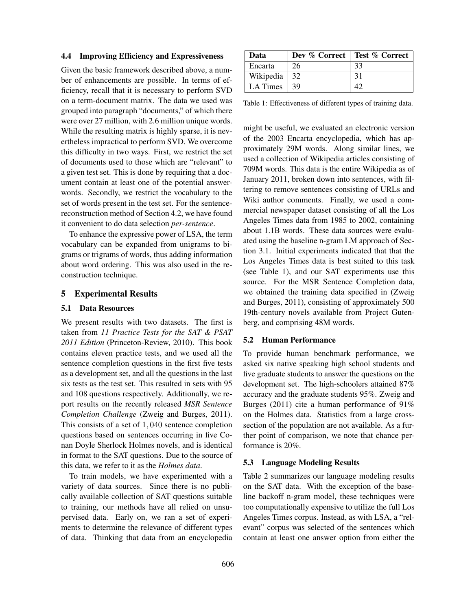#### 4.4 Improving Efficiency and Expressiveness

Given the basic framework described above, a number of enhancements are possible. In terms of efficiency, recall that it is necessary to perform SVD on a term-document matrix. The data we used was grouped into paragraph "documents," of which there were over 27 million, with 2.6 million unique words. While the resulting matrix is highly sparse, it is nevertheless impractical to perform SVD. We overcome this difficulty in two ways. First, we restrict the set of documents used to those which are "relevant" to a given test set. This is done by requiring that a document contain at least one of the potential answerwords. Secondly, we restrict the vocabulary to the set of words present in the test set. For the sentencereconstruction method of Section 4.2, we have found it convenient to do data selection *per-sentence*.

To enhance the expressive power of LSA, the term vocabulary can be expanded from unigrams to bigrams or trigrams of words, thus adding information about word ordering. This was also used in the reconstruction technique.

#### 5 Experimental Results

#### 5.1 Data Resources

We present results with two datasets. The first is taken from *11 Practice Tests for the SAT & PSAT 2011 Edition* (Princeton-Review, 2010). This book contains eleven practice tests, and we used all the sentence completion questions in the first five tests as a development set, and all the questions in the last six tests as the test set. This resulted in sets with 95 and 108 questions respectively. Additionally, we report results on the recently released *MSR Sentence Completion Challenge* (Zweig and Burges, 2011). This consists of a set of 1, 040 sentence completion questions based on sentences occurring in five Conan Doyle Sherlock Holmes novels, and is identical in format to the SAT questions. Due to the source of this data, we refer to it as the *Holmes data*.

To train models, we have experimented with a variety of data sources. Since there is no publically available collection of SAT questions suitable to training, our methods have all relied on unsupervised data. Early on, we ran a set of experiments to determine the relevance of different types of data. Thinking that data from an encyclopedia

| Data           |     | Dev % Correct   Test % Correct |
|----------------|-----|--------------------------------|
| Encarta        | 26  | 33                             |
| Wikipedia   32 |     | 31                             |
| LA Times       | -39 |                                |

Table 1: Effectiveness of different types of training data.

might be useful, we evaluated an electronic version of the 2003 Encarta encyclopedia, which has approximately 29M words. Along similar lines, we used a collection of Wikipedia articles consisting of 709M words. This data is the entire Wikipedia as of January 2011, broken down into sentences, with filtering to remove sentences consisting of URLs and Wiki author comments. Finally, we used a commercial newspaper dataset consisting of all the Los Angeles Times data from 1985 to 2002, containing about 1.1B words. These data sources were evaluated using the baseline n-gram LM approach of Section 3.1. Initial experiments indicated that that the Los Angeles Times data is best suited to this task (see Table 1), and our SAT experiments use this source. For the MSR Sentence Completion data, we obtained the training data specified in (Zweig and Burges, 2011), consisting of approximately 500 19th-century novels available from Project Gutenberg, and comprising 48M words.

#### 5.2 Human Performance

To provide human benchmark performance, we asked six native speaking high school students and five graduate students to answer the questions on the development set. The high-schoolers attained 87% accuracy and the graduate students 95%. Zweig and Burges (2011) cite a human performance of 91% on the Holmes data. Statistics from a large crosssection of the population are not available. As a further point of comparison, we note that chance performance is 20%.

### 5.3 Language Modeling Results

Table 2 summarizes our language modeling results on the SAT data. With the exception of the baseline backoff n-gram model, these techniques were too computationally expensive to utilize the full Los Angeles Times corpus. Instead, as with LSA, a "relevant" corpus was selected of the sentences which contain at least one answer option from either the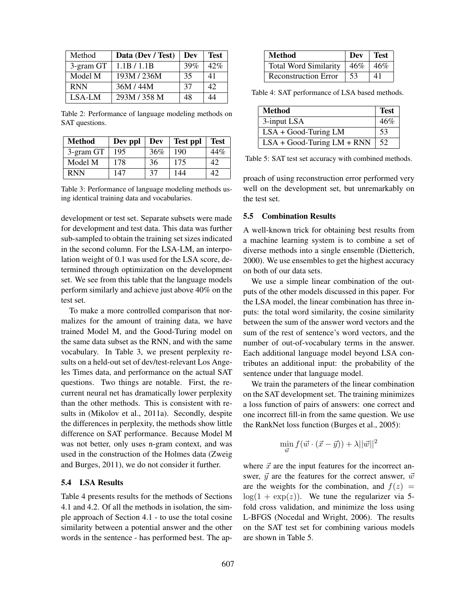| Method     | Data (Dev / Test) | Dev | <b>Test</b> |
|------------|-------------------|-----|-------------|
| 3-gram GT  | 1.1B / 1.1B       | 39% | 42%         |
| Model M    | 193M/236M         | 35  | 41          |
| <b>RNN</b> | 36M/44M           | 37  | 42          |
| LSA-LM     | 293M / 358 M      | 48  | 44          |

Table 2: Performance of language modeling methods on SAT questions.

| <b>Method</b> | Dev ppl | Dev | <b>Test ppl</b> | <b>Test</b> |
|---------------|---------|-----|-----------------|-------------|
| 3-gram GT     | 195     | 36% | 190             | 44%         |
| Model M       | 178     | 36  | 175             | 42          |
| <b>RNN</b>    | 147     | 37  | 144             | 42          |

Table 3: Performance of language modeling methods using identical training data and vocabularies.

development or test set. Separate subsets were made for development and test data. This data was further sub-sampled to obtain the training set sizes indicated in the second column. For the LSA-LM, an interpolation weight of 0.1 was used for the LSA score, determined through optimization on the development set. We see from this table that the language models perform similarly and achieve just above 40% on the test set.

To make a more controlled comparison that normalizes for the amount of training data, we have trained Model M, and the Good-Turing model on the same data subset as the RNN, and with the same vocabulary. In Table 3, we present perplexity results on a held-out set of dev/test-relevant Los Angeles Times data, and performance on the actual SAT questions. Two things are notable. First, the recurrent neural net has dramatically lower perplexity than the other methods. This is consistent with results in (Mikolov et al., 2011a). Secondly, despite the differences in perplexity, the methods show little difference on SAT performance. Because Model M was not better, only uses n-gram context, and was used in the construction of the Holmes data (Zweig and Burges, 2011), we do not consider it further.

#### 5.4 LSA Results

Table 4 presents results for the methods of Sections 4.1 and 4.2. Of all the methods in isolation, the simple approach of Section 4.1 - to use the total cosine similarity between a potential answer and the other words in the sentence - has performed best. The ap-

| <b>Method</b>                | Dev | Test |
|------------------------------|-----|------|
| <b>Total Word Similarity</b> | 46% | 46%  |
| <b>Reconstruction Error</b>  | 53  | 41   |

Table 4: SAT performance of LSA based methods.

| <b>Method</b>                | <b>Test</b> |
|------------------------------|-------------|
| 3-input LSA                  | 46%         |
| $LSA + Good-Turing LM$       | .53         |
| $LSA + Good-Turing LM + RNN$ | 52          |

Table 5: SAT test set accuracy with combined methods.

proach of using reconstruction error performed very well on the development set, but unremarkably on the test set.

### 5.5 Combination Results

A well-known trick for obtaining best results from a machine learning system is to combine a set of diverse methods into a single ensemble (Dietterich, 2000). We use ensembles to get the highest accuracy on both of our data sets.

We use a simple linear combination of the outputs of the other models discussed in this paper. For the LSA model, the linear combination has three inputs: the total word similarity, the cosine similarity between the sum of the answer word vectors and the sum of the rest of sentence's word vectors, and the number of out-of-vocabulary terms in the answer. Each additional language model beyond LSA contributes an additional input: the probability of the sentence under that language model.

We train the parameters of the linear combination on the SAT development set. The training minimizes a loss function of pairs of answers: one correct and one incorrect fill-in from the same question. We use the RankNet loss function (Burges et al., 2005):

$$
\min_{\vec{w}} f(\vec{w} \cdot (\vec{x} - \vec{y})) + \lambda ||\vec{w}||^2
$$

where  $\vec{x}$  are the input features for the incorrect answer,  $\vec{y}$  are the features for the correct answer,  $\vec{w}$ are the weights for the combination, and  $f(z) =$  $log(1 + exp(z))$ . We tune the regularizer via 5fold cross validation, and minimize the loss using L-BFGS (Nocedal and Wright, 2006). The results on the SAT test set for combining various models are shown in Table 5.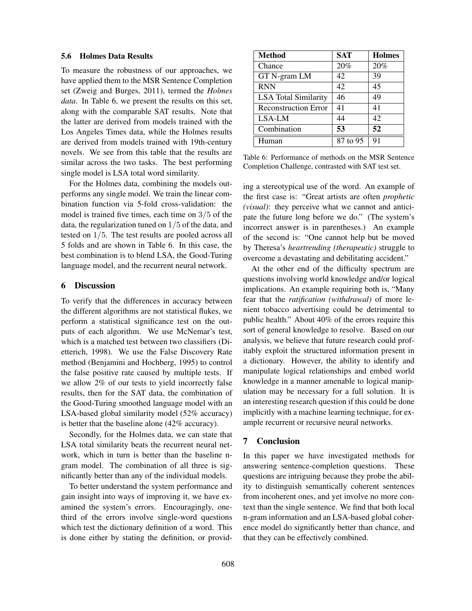#### 5.6 Holmes Data Results

To measure the robustness of our approaches, we have applied them to the MSR Sentence Completion set (Zweig and Burges, 2011), termed the *Holmes data*. In Table 6, we present the results on this set, along with the comparable SAT results. Note that the latter are derived from models trained with the Los Angeles Times data, while the Holmes results are derived from models trained with 19th-century novels. We see from this table that the results are similar across the two tasks. The best performing single model is LSA total word similarity.

For the Holmes data, combining the models outperforms any single model. We train the linear combination function via 5-fold cross-validation: the model is trained five times, each time on 3/5 of the data, the regularization tuned on 1/5 of the data, and tested on 1/5. The test results are pooled across all 5 folds and are shown in Table 6. In this case, the best combination is to blend LSA, the Good-Turing language model, and the recurrent neural network.

## 6 Discussion

To verify that the differences in accuracy between the different algorithms are not statistical flukes, we perform a statistical significance test on the outputs of each algorithm. We use McNemar's test, which is a matched test between two classifiers (Dietterich, 1998). We use the False Discovery Rate method (Benjamini and Hochberg, 1995) to control the false positive rate caused by multiple tests. If we allow 2% of our tests to yield incorrectly false results, then for the SAT data, the combination of the Good-Turing smoothed language model with an LSA-based global similarity model (52% accuracy) is better that the baseline alone (42% accuracy).

Secondly, for the Holmes data, we can state that LSA total similarity beats the recurrent neural network, which in turn is better than the baseline ngram model. The combination of all three is significantly better than any of the individual models.

To better understand the system performance and gain insight into ways of improving it, we have examined the system's errors. Encouragingly, onethird of the errors involve single-word questions which test the dictionary definition of a word. This is done either by stating the definition, or provid-

| Method                      | <b>SAT</b> | <b>Holmes</b> |
|-----------------------------|------------|---------------|
| Chance                      | 20%        | 20%           |
| GT N-gram LM                | 42         | 39            |
| <b>RNN</b>                  | 42         | 45            |
| <b>LSA</b> Total Similarity | 46         | 49            |
| <b>Reconstruction Error</b> | 41         | 41            |
| LSA-LM                      | 44         | 42            |
| Combination                 | 53         | 52            |
| Human                       | 87 to 95   | 91            |

Table 6: Performance of methods on the MSR Sentence Completion Challenge, contrasted with SAT test set.

ing a stereotypical use of the word. An example of the first case is: "Great artists are often *prophetic (visual)*: they perceive what we cannot and anticipate the future long before we do." (The system's incorrect answer is in parentheses.) An example of the second is: "One cannot help but be moved by Theresa's *heartrending (therapeutic)* struggle to overcome a devastating and debilitating accident."

At the other end of the difficulty spectrum are questions involving world knowledge and/or logical implications. An example requiring both is, "Many fear that the *ratification (withdrawal)* of more lenient tobacco advertising could be detrimental to public health." About 40% of the errors require this sort of general knowledge to resolve. Based on our analysis, we believe that future research could profitably exploit the structured information present in a dictionary. However, the ability to identify and manipulate logical relationships and embed world knowledge in a manner amenable to logical manipulation may be necessary for a full solution. It is an interesting research question if this could be done implicitly with a machine learning technique, for example recurrent or recursive neural networks.

#### 7 Conclusion

In this paper we have investigated methods for answering sentence-completion questions. These questions are intriguing because they probe the ability to distinguish semantically coherent sentences from incoherent ones, and yet involve no more context than the single sentence. We find that both local n-gram information and an LSA-based global coherence model do significantly better than chance, and that they can be effectively combined.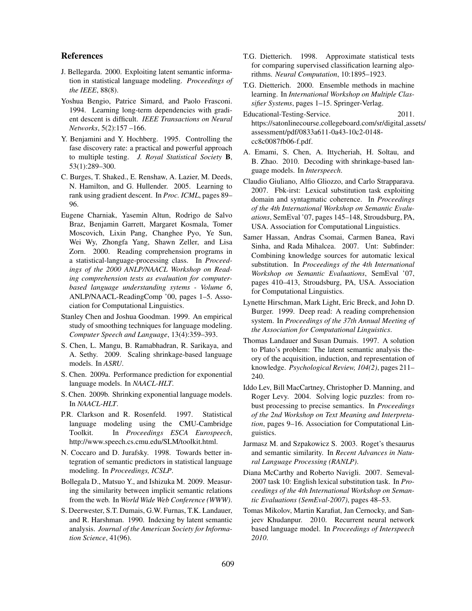#### References

- J. Bellegarda. 2000. Exploiting latent semantic information in statistical language modeling. *Proceedings of the IEEE*, 88(8).
- Yoshua Bengio, Patrice Simard, and Paolo Frasconi. 1994. Learning long-term dependencies with gradient descent is difficult. *IEEE Transactions on Neural Networks*, 5(2):157 –166.
- Y. Benjamini and Y. Hochberg. 1995. Controlling the fase discovery rate: a practical and powerful approach to multiple testing. *J. Royal Statistical Society* B, 53(1):289–300.
- C. Burges, T. Shaked., E. Renshaw, A. Lazier, M. Deeds, N. Hamilton, and G. Hullender. 2005. Learning to rank using gradient descent. In *Proc. ICML*, pages 89– 96.
- Eugene Charniak, Yasemin Altun, Rodrigo de Salvo Braz, Benjamin Garrett, Margaret Kosmala, Tomer Moscovich, Lixin Pang, Changhee Pyo, Ye Sun, Wei Wy, Zhongfa Yang, Shawn Zeller, and Lisa Zorn. 2000. Reading comprehension programs in a statistical-language-processing class. In *Proceedings of the 2000 ANLP/NAACL Workshop on Reading comprehension tests as evaluation for computerbased language understanding sytems - Volume 6*, ANLP/NAACL-ReadingComp '00, pages 1–5. Association for Computational Linguistics.
- Stanley Chen and Joshua Goodman. 1999. An empirical study of smoothing techniques for language modeling. *Computer Speech and Language*, 13(4):359–393.
- S. Chen, L. Mangu, B. Ramabhadran, R. Sarikaya, and A. Sethy. 2009. Scaling shrinkage-based language models. In *ASRU*.
- S. Chen. 2009a. Performance prediction for exponential language models. In *NAACL-HLT*.
- S. Chen. 2009b. Shrinking exponential language models. In *NAACL-HLT*.
- P.R. Clarkson and R. Rosenfeld. 1997. Statistical language modeling using the CMU-Cambridge Toolkit. In *Proceedings ESCA Eurospeech*, http://www.speech.cs.cmu.edu/SLM/toolkit.html.
- N. Coccaro and D. Jurafsky. 1998. Towards better integration of semantic predictors in statistical language modeling. In *Proceedings, ICSLP*.
- Bollegala D., Matsuo Y., and Ishizuka M. 2009. Measuring the similarity between implicit semantic relations from the web. In *World Wide Web Conference (WWW)*.
- S. Deerwester, S.T. Dumais, G.W. Furnas, T.K. Landauer, and R. Harshman. 1990. Indexing by latent semantic analysis. *Journal of the American Society for Information Science*, 41(96).
- T.G. Dietterich. 1998. Approximate statistical tests for comparing supervised classification learning algorithms. *Neural Computation*, 10:1895–1923.
- T.G. Dietterich. 2000. Ensemble methods in machine learning. In *International Workshop on Multiple Classifier Systems*, pages 1–15. Springer-Verlag.
- Educational-Testing-Service. 2011. https://satonlinecourse.collegeboard.com/sr/digital assets/ assessment/pdf/0833a611-0a43-10c2-0148 cc8c0087fb06-f.pdf.
- A. Emami, S. Chen, A. Ittycheriah, H. Soltau, and B. Zhao. 2010. Decoding with shrinkage-based language models. In *Interspeech*.
- Claudio Giuliano, Alfio Gliozzo, and Carlo Strapparava. 2007. Fbk-irst: Lexical substitution task exploiting domain and syntagmatic coherence. In *Proceedings of the 4th International Workshop on Semantic Evaluations*, SemEval '07, pages 145–148, Stroudsburg, PA, USA. Association for Computational Linguistics.
- Samer Hassan, Andras Csomai, Carmen Banea, Ravi Sinha, and Rada Mihalcea. 2007. Unt: Subfinder: Combining knowledge sources for automatic lexical substitution. In *Proceedings of the 4th International Workshop on Semantic Evaluations*, SemEval '07, pages 410–413, Stroudsburg, PA, USA. Association for Computational Linguistics.
- Lynette Hirschman, Mark Light, Eric Breck, and John D. Burger. 1999. Deep read: A reading comprehension system. In *Proceedings of the 37th Annual Meeting of the Association for Computational Linguistics*.
- Thomas Landauer and Susan Dumais. 1997. A solution to Plato's problem: The latent semantic analysis theory of the acquisition, induction, and representation of knowledge. *Psychological Review, 104(2)*, pages 211– 240.
- Iddo Lev, Bill MacCartney, Christopher D. Manning, and Roger Levy. 2004. Solving logic puzzles: from robust processing to precise semantics. In *Proceedings of the 2nd Workshop on Text Meaning and Interpretation*, pages 9–16. Association for Computational Linguistics.
- Jarmasz M. and Szpakowicz S. 2003. Roget's thesaurus and semantic similarity. In *Recent Advances in Natural Language Processing (RANLP)*.
- Diana McCarthy and Roberto Navigli. 2007. Semeval-2007 task 10: English lexical substitution task. In *Proceedings of the 4th International Workshop on Semantic Evaluations (SemEval-2007)*, pages 48–53.
- Tomas Mikolov, Martin Karafiat, Jan Cernocky, and Sanjeev Khudanpur. 2010. Recurrent neural network based language model. In *Proceedings of Interspeech 2010*.